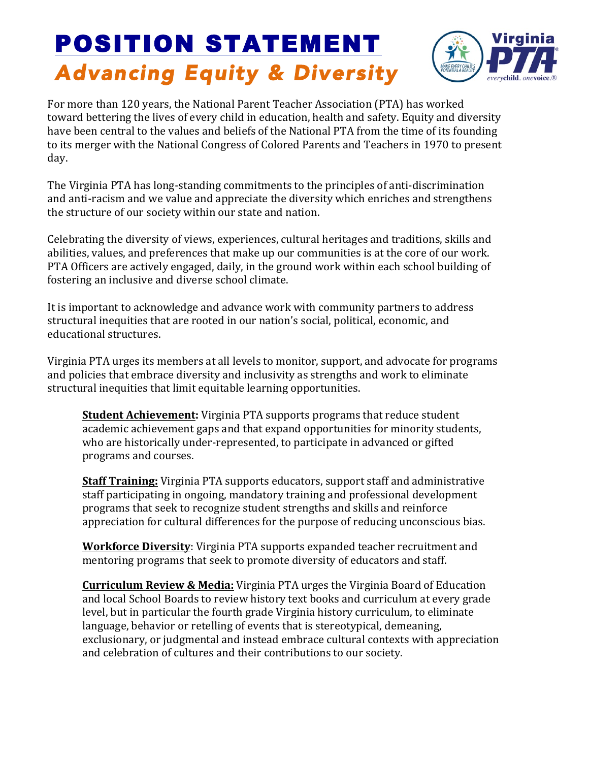## POSITION STATEMENT *Advancing Equity & Diversity*



For more than 120 years, the National Parent Teacher Association (PTA) has worked toward bettering the lives of every child in education, health and safety. Equity and diversity have been central to the values and beliefs of the National PTA from the time of its founding to its merger with the National Congress of Colored Parents and Teachers in 1970 to present day.

The Virginia PTA has long-standing commitments to the principles of anti-discrimination and anti-racism and we value and appreciate the diversity which enriches and strengthens the structure of our society within our state and nation.

Celebrating the diversity of views, experiences, cultural heritages and traditions, skills and abilities, values, and preferences that make up our communities is at the core of our work. PTA Officers are actively engaged, daily, in the ground work within each school building of fostering an inclusive and diverse school climate.

It is important to acknowledge and advance work with community partners to address structural inequities that are rooted in our nation's social, political, economic, and educational structures.

Virginia PTA urges its members at all levels to monitor, support, and advocate for programs and policies that embrace diversity and inclusivity as strengths and work to eliminate structural inequities that limit equitable learning opportunities.

**Student Achievement:** Virginia PTA supports programs that reduce student academic achievement gaps and that expand opportunities for minority students, who are historically under-represented, to participate in advanced or gifted programs and courses.

**Staff Training:** Virginia PTA supports educators, support staff and administrative staff participating in ongoing, mandatory training and professional development programs that seek to recognize student strengths and skills and reinforce appreciation for cultural differences for the purpose of reducing unconscious bias.

**Workforce Diversity:** Virginia PTA supports expanded teacher recruitment and mentoring programs that seek to promote diversity of educators and staff.

**Curriculum Review & Media:** Virginia PTA urges the Virginia Board of Education and local School Boards to review history text books and curriculum at every grade level, but in particular the fourth grade Virginia history curriculum, to eliminate language, behavior or retelling of events that is stereotypical, demeaning, exclusionary, or judgmental and instead embrace cultural contexts with appreciation and celebration of cultures and their contributions to our society.